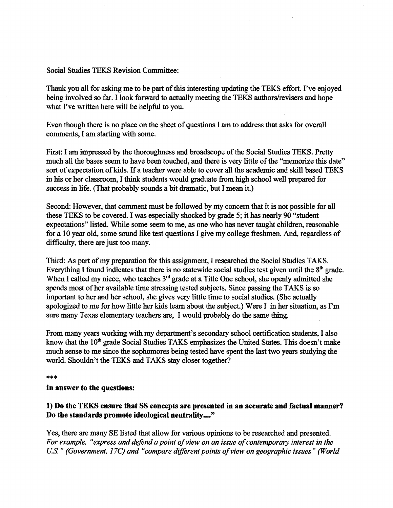#### Social Studies TEKS Revision Committee:

Thank you all for asking me to be part of this interesting updating the TEKS effort. I've enjoyed being involved so far. I look forward to actually meeting the TEKS authors/revisers and hope what I've written here will be helpful to you.

Even though there is no place on the sheet of questions I am to address that asks for overall comments, I am starting with some.

First: I am impressed by the thoroughness and broadscope of the Social Studies TEKS. Pretty much all the bases seem to have been touched, and there is very little of the "memorize this date" sort of expectation of kids. If a teacher were able to cover all the academic and skill based TEKS in his or her classroom, I think students would graduate from high school well prepared for success in life. (That probably sounds a bit dramatic, but I mean it.)

Second: However, that comment must be followed by my concern that it is not possible for all these TEKS to be covered. I was especially shocked by grade 5; it has nearly 90 "student expectations" listed. While some seem to me, as one who has never taught children, reasonable for a 10 year old, some sound like test questions I give my college freshmen. And, regardless of difficulty, there are just too many.

Third: As part of my preparation for this assignment, I researched the Social Studies TAKS. Everything I found indicates that there is no statewide social studies test given until the  $8<sup>th</sup>$  grade. When I called my niece, who teaches 3<sup>rd</sup> grade at a Title One school, she openly admitted she spends most of her available time stressing tested subjects. Since passing the TAKS is so important to her and her school, she gives very little time to social studies. (She actually apologized to me for how little her kids learn about the subject.) Were I in her situation, as I'm sure many Texas elementary teachers are, I would probably do the same thing.

From many years working with my department's secondary school certification students, I also know that the 10<sup>th</sup> grade Social Studies TAKS emphasizes the United States. This doesn't make much sense to me since the sophomores being tested have spent the last two years studying the world. Shouldn't the TEKS and TAKS stay closer together?

#### \*\*\*

#### **In** answer to the questions:

# 1) Do the TEKS ensure that SS concepts are presented in an accurate and factual manner? Do the standards promote ideological neutrality...."

Yes, there are many SE listed that allow for various opinions to be researched and presented. For example, "express and defend a point of view on an issue of contemporary interest in the U.S." (Government, 17C) and "compare different points of view on geographic issues" (World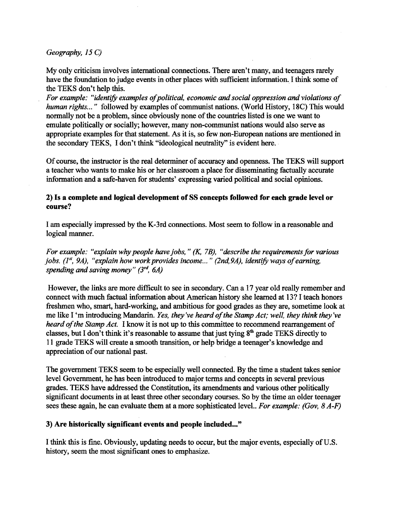*Geography,* 15 C)

My only criticism involves international connections. There aren't many, and teenagers rarely have the foundation to judge events in other places with sufficient information. I think some of the TEKS don't help this.

For example: "identify examples of political, economic and social oppression and violations of *human rights ... "* followed by examples of communist nations. (World History, 18C) This would normally not be a problem, since obviously none of the countries listed is one we want to emulate politically or socially; however, many non-communist nations would also serve as appropriate examples for that statement. As it is, so few non-European nations are mentioned in the secondary TEKS, I don't think "ideological neutrality" is evident here.

Of course, the instructor is the real determiner of accuracy and openness. The TEKS will support a teacher who wants to make his or her classroom a place for disseminating factually accurate information and a safe-haven for students' expressing varied political and social opinions.

## 2) Is a complete and logical development of SS concepts followed for each grade level or course?

I am especially impressed by the K-3rd connections. Most seem to follow in a reasonable and logical manner.

*For example: "explain why people have jobs," (K, 7B), "describe the requirements for various jobs.* (1<sup>st</sup>, 9A), "explain how work provides income..." (2nd, 9A), identify ways of earning, *spending and saving money" (3Td, 6A)* 

However, the links are more difficult to see in secondary. Can a 17 year old really remember and connect with much factual information about American history she learned at 13? I teach honors freshmen who, smart, hard-working, and ambitious for good grades as they are, sometime look at me like I 'm introducing Mandarin. *Yes, they've heard of the Stamp Act; well, they think they've heard of the Stamp Act.* I know it is not up to this committee to recommend rearrangement of classes, but I don't think it's reasonable to assume that just tying  $8<sup>th</sup>$  grade TEKS directly to 11 grade TEKS will create a smooth transition, or help bridge a teenager's knowledge and appreciation of our national past.

The government TEKS seem to be especially well connected. By the time a student takes senior level Government, he has been introduced to major terms and concepts in several previous grades. TEKS have addressed the Constitution, its amendments and various other politically significant documents in at least three other secondary courses. So by the time an older teenager sees these again, he can evaluate them at a more sophisticated level.. *For example: (Gov,* 8 *A-F)* 

## 3) Are historically significant events and people included..."

I think this is fine. Obviously, updating needs to occur, but the major events, especially of U.S. history, seem the most significant ones to emphasize.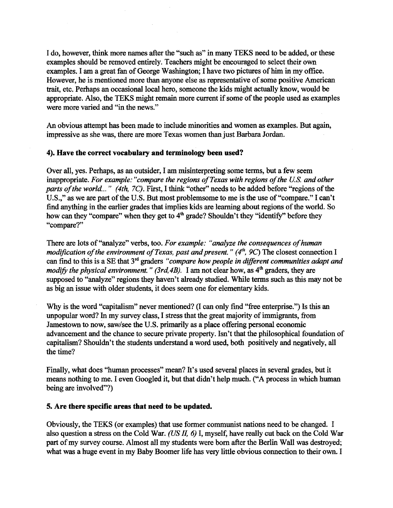I do, however, think more names after the "such as" in many TEKS need to be added, or these examples should be removed entirely. Teachers might be encouraged to select their own examples. I am a great fan of George Washington; I have two pictures of him in my office. However, he is mentioned more than anyone else as representative of some positive American trait, etc. Perhaps an occasional local hero, someone the kids might actually know, would be appropriate. Also, the TEKS might remain more current if some of the people used as examples were more varied and "in the news."

An obvious attempt has been made to include minorities and women as examples. But again, impressive as she was, there are more Texas women than just Barbara Jordan.

#### 4). Have the correct vocabulary and terminology been used?

 $\mathcal{L}$ 

Over all, yes. Perhaps, as an outsider, I am misinterpreting some terms, but a few seem inappropriate. *For example: "compare the regions of Texas with regions of the U.S. and other parts of the world..." (4th, 7C).* First, I think "other" needs to be added before "regions of the U.S.," as we are part of the U.S. But most problemsome to me is the use of "compare." I can't find anything in the earlier grades that implies kids are learning about regions of the world. So how can they "compare" when they get to 4<sup>th</sup> grade? Shouldn't they "identify" before they "compare?"

There are lots of "analyze" verbs, too. For example: "analyze the consequences of human *modification of the environment of Texas, past and present." (4<sup>th</sup>, 9C) The closest connection I* can fmd to this is a SE that 3rd graders *"compare how people in different communities adapt and modify the physical environment." (3rd, 4B).* I am not clear how, as  $4<sup>th</sup>$  graders, they are supposed to "analyze" regions they haven't already studied. While terms such as this may not be as big an issue with older students, it does seem one for elementary kids.

Why is the word "capitalism" never mentioned? (I can only find "free enterprise.") Is this an unpopular word? In my survey class, I stress that the great majority of immigrants, from Jamestown to now, saw/see the U.S. primarily as a place offering personal economic advancement and the chance to secure private property. Isn't that the philosophical foundation of capitalism? Shouldn't the students understand a word used, both positively and negatively, all the time?

Finally, what does "human processes" mean? It's used several places in several grades, but it means nothing to me. I even Googled it, but that didn't help much. ("A process in which human being are involved"?)

## 5. Are there specific areas that need to be updated.

Obviously, the TEKS (or examples) that use former communist nations need to be changed. I also question a stress on the Cold War. (US *II,* 6) I, myself, have really cut back on the Cold War part of my survey course. Almost all my students were born after the Berlin Wall was destroyed; what was a huge event in my Baby Boomer life has very little obvious connection to their own. I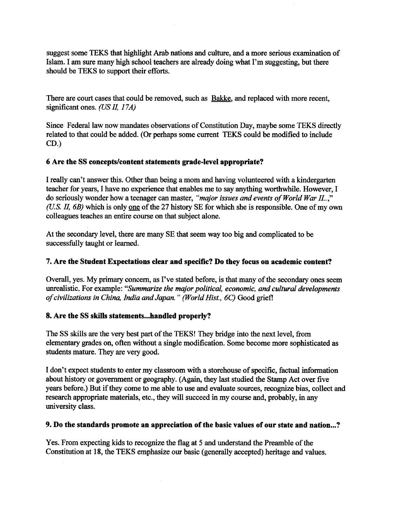suggest some TEKS that highlight Arab nations and culture, and a more serious examination of Islam. I am sure many high school teachers are already doing what I'm suggesting, but there should be TEKS to support their efforts.

There are court cases that could be removed, such as Bakke, and replaced with more recent, significant ones. *(US II,* 17*A)* 

Since Federal law now mandates observations of Constitution Day, maybe some TEKS directly related to that could be added. (Or perhaps some current TEKS could be modified to include CD.)

## 6 Are the SS concepts/content statements grade-level appropriate?

I really can't answer this. Other than being a mom and having volunteered with a kindergarten teacher for years, I have no experience that enables me to say anything worthwhile. However, I do seriously wonder how a teenager can master, "major issues and events of World War II..," *(U.S. II, 6B)* which is only one of the 27 history SE for which she is responsible. One of my own colleagues teaches an entire course on that subject alone.

At the secondary level, there are many SE that seem way too big and complicated to be successfully taught or learned.

#### 7. Are the Student Expectations clear and specific? Do they focus on academic content?

Overall, yes. My primary concern, as I've stated before, is that many of the secondary ones seem unrealistic. For example: *"Summarize the major political, economic, and cultural developments ofcivilizations in China, India andJapan.* " *(World Hist., 6C)* Good griefl

#### 8. Are the SS skills statements...handled properly?

The SS skills are the very best part of the TEKS! They bridge into the next level, from elementary grades on, often without a single modification. Some become more sophisticated as students mature. They are very good.

I don't expect students to enter my classroom with a storehouse of specific, factual information about history or government or geography. (Again, they last studied the Stamp Act over five years before.) But if they come to me able to use and evaluate sources, recognize bias, collect and research appropriate materials, etc., they will succeed in my course and, probably, in any university class.

#### 9. Do the standards promote an appreciation of the basic values of our state and nation...?

Yes. From expecting kids to recognize the flag at 5 and understand the Preamble of the Constitution at 18, the TEKS emphasize our basic (generally accepted) heritage and values.